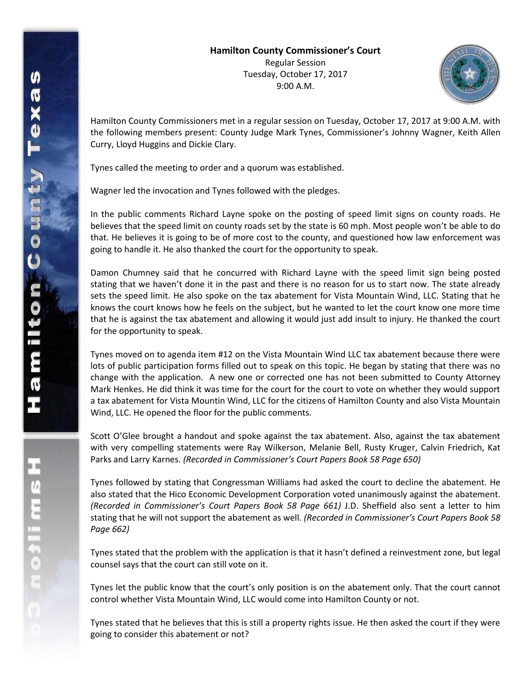

Hamilton County Commissioners met in a regular session on Tuesday, October 17, 2017 at 9:00 A.M. with the following members present: County Judge Mark Tynes, Commissioner's Johnny Wagner, Keith Allen Curry, Lloyd Huggins and Dickie Clary.

Tynes called the meeting to order and a quorum was established.

Wagner led the invocation and Tynes followed with the pledges.

In the public comments Richard Layne spoke on the posting of speed limit signs on county roads. He believes that the speed limit on county roads set by the state is 60 mph. Most people won't be able to do that. He believes it is going to be of more cost to the county, and questioned how law enforcement was going to handle it. He also thanked the court for the opportunity to speak.

Damon Chumney said that he concurred with Richard Layne with the speed limit sign being posted stating that we haven't done it in the past and there is no reason for us to start now. The state already sets the speed limit. He also spoke on the tax abatement for Vista Mountain Wind, LLC. Stating that he knows the court knows how he feels on the subject, but he wanted to let the court know one more time that he is against the tax abatement and allowing it would just add insult to injury. He thanked the court for the opportunity to speak.

Tynes moved on to agenda item #12 on the Vista Mountain Wind LLC tax abatement because there were lots of public participation forms filled out to speak on this topic. He began by stating that there was no change with the application. A new one or corrected one has not been submitted to County Attorney Mark Henkes. He did think it was time for the court for the court to vote on whether they would support a tax abatement for Vista Mountin Wind, LLC for the citizens of Hamilton County and also Vista Mountain Wind, LLC. He opened the floor for the public comments.

Scott O'Glee brought a handout and spoke against the tax abatement. Also, against the tax abatement with very compelling statements were Ray Wilkerson, Melanie Bell, Rusty Kruger, Calvin Friedrich, Kat Parks and Larry Karnes. *(Recorded in Commissioner's Court Papers Book 58 Page 650)*

Tynes followed by stating that Congressman Williams had asked the court to decline the abatement. He also stated that the Hico Economic Development Corporation voted unanimously against the abatement. *(Recorded in Commissioner's Court Papers Book 58 Page 661)* J.D. Sheffield also sent a letter to him stating that he will not support the abatement as well. *(Recorded in Commissioner's Court Papers Book 58 Page 662)*

Tynes stated that the problem with the application is that it hasn't defined a reinvestment zone, but legal counsel says that the court can still vote on it.

Tynes let the public know that the court's only position is on the abatement only. That the court cannot control whether Vista Mountain Wind, LLC would come into Hamilton County or not.

Tynes stated that he believes that this is still a property rights issue. He then asked the court if they were going to consider this abatement or not?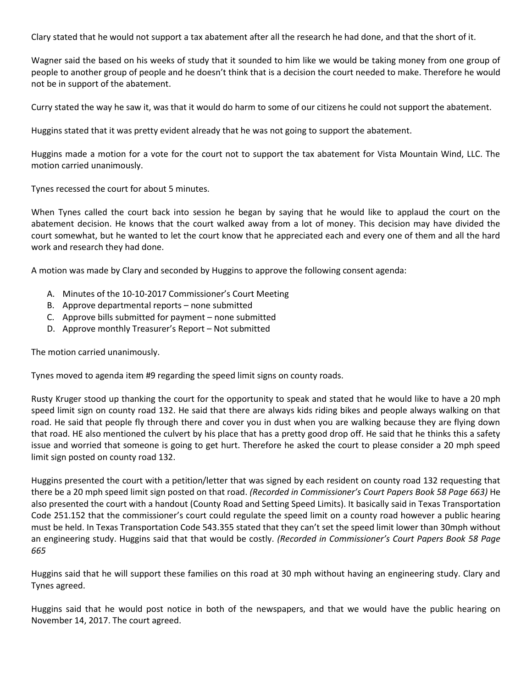Clary stated that he would not support a tax abatement after all the research he had done, and that the short of it.

Wagner said the based on his weeks of study that it sounded to him like we would be taking money from one group of people to another group of people and he doesn't think that is a decision the court needed to make. Therefore he would not be in support of the abatement.

Curry stated the way he saw it, was that it would do harm to some of our citizens he could not support the abatement.

Huggins stated that it was pretty evident already that he was not going to support the abatement.

Huggins made a motion for a vote for the court not to support the tax abatement for Vista Mountain Wind, LLC. The motion carried unanimously.

Tynes recessed the court for about 5 minutes.

When Tynes called the court back into session he began by saying that he would like to applaud the court on the abatement decision. He knows that the court walked away from a lot of money. This decision may have divided the court somewhat, but he wanted to let the court know that he appreciated each and every one of them and all the hard work and research they had done.

A motion was made by Clary and seconded by Huggins to approve the following consent agenda:

- A. Minutes of the 10-10-2017 Commissioner's Court Meeting
- B. Approve departmental reports none submitted
- C. Approve bills submitted for payment none submitted
- D. Approve monthly Treasurer's Report Not submitted

The motion carried unanimously.

Tynes moved to agenda item #9 regarding the speed limit signs on county roads.

Rusty Kruger stood up thanking the court for the opportunity to speak and stated that he would like to have a 20 mph speed limit sign on county road 132. He said that there are always kids riding bikes and people always walking on that road. He said that people fly through there and cover you in dust when you are walking because they are flying down that road. HE also mentioned the culvert by his place that has a pretty good drop off. He said that he thinks this a safety issue and worried that someone is going to get hurt. Therefore he asked the court to please consider a 20 mph speed limit sign posted on county road 132.

Huggins presented the court with a petition/letter that was signed by each resident on county road 132 requesting that there be a 20 mph speed limit sign posted on that road. *(Recorded in Commissioner's Court Papers Book 58 Page 663)* He also presented the court with a handout (County Road and Setting Speed Limits). It basically said in Texas Transportation Code 251.152 that the commissioner's court could regulate the speed limit on a county road however a public hearing must be held. In Texas Transportation Code 543.355 stated that they can't set the speed limit lower than 30mph without an engineering study. Huggins said that that would be costly. *(Recorded in Commissioner's Court Papers Book 58 Page 665*

Huggins said that he will support these families on this road at 30 mph without having an engineering study. Clary and Tynes agreed.

Huggins said that he would post notice in both of the newspapers, and that we would have the public hearing on November 14, 2017. The court agreed.